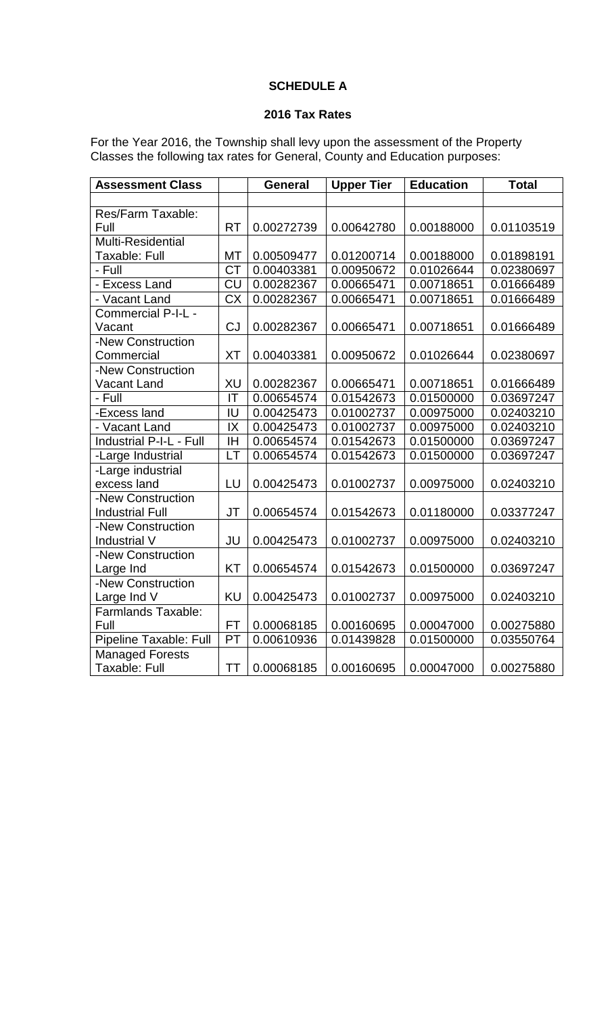# **SCHEDULE A**

## **2016 Tax Rates**

For the Year 2016, the Township shall levy upon the assessment of the Property Classes the following tax rates for General, County and Education purposes:

| <b>Assessment Class</b>   |           | <b>General</b> | <b>Upper Tier</b> | <b>Education</b> | <b>Total</b> |
|---------------------------|-----------|----------------|-------------------|------------------|--------------|
|                           |           |                |                   |                  |              |
| Res/Farm Taxable:         |           |                |                   |                  |              |
| Full                      | <b>RT</b> | 0.00272739     | 0.00642780        | 0.00188000       | 0.01103519   |
| <b>Multi-Residential</b>  |           |                |                   |                  |              |
| <b>Taxable: Full</b>      | MT        | 0.00509477     | 0.01200714        | 0.00188000       | 0.01898191   |
| - Full                    | <b>CT</b> | 0.00403381     | 0.00950672        | 0.01026644       | 0.02380697   |
| - Excess Land             | <b>CU</b> | 0.00282367     | 0.00665471        | 0.00718651       | 0.01666489   |
| - Vacant Land             | <b>CX</b> | 0.00282367     | 0.00665471        | 0.00718651       | 0.01666489   |
| Commercial P-I-L -        |           |                |                   |                  |              |
| Vacant                    | CJ        | 0.00282367     | 0.00665471        | 0.00718651       | 0.01666489   |
| -New Construction         |           |                |                   |                  |              |
| Commercial                | <b>XT</b> | 0.00403381     | 0.00950672        | 0.01026644       | 0.02380697   |
| -New Construction         |           |                |                   |                  |              |
| <b>Vacant Land</b>        | XU        | 0.00282367     | 0.00665471        | 0.00718651       | 0.01666489   |
| - Full                    | IT        | 0.00654574     | 0.01542673        | 0.01500000       | 0.03697247   |
| -Excess land              | IU        | 0.00425473     | 0.01002737        | 0.00975000       | 0.02403210   |
| - Vacant Land             | IX        | 0.00425473     | 0.01002737        | 0.00975000       | 0.02403210   |
| Industrial P-I-L - Full   | IH        | 0.00654574     | 0.01542673        | 0.01500000       | 0.03697247   |
| -Large Industrial         | LT        | 0.00654574     | 0.01542673        | 0.01500000       | 0.03697247   |
| -Large industrial         |           |                |                   |                  |              |
| excess land               | LU        | 0.00425473     | 0.01002737        | 0.00975000       | 0.02403210   |
| -New Construction         |           |                |                   |                  |              |
| <b>Industrial Full</b>    | JT        | 0.00654574     | 0.01542673        | 0.01180000       | 0.03377247   |
| -New Construction         |           |                |                   |                  |              |
| Industrial V              | JU        | 0.00425473     | 0.01002737        | 0.00975000       | 0.02403210   |
| -New Construction         |           |                |                   |                  |              |
| Large Ind                 | KT        | 0.00654574     | 0.01542673        | 0.01500000       | 0.03697247   |
| -New Construction         |           |                |                   |                  |              |
| Large Ind V               | <b>KU</b> | 0.00425473     | 0.01002737        | 0.00975000       | 0.02403210   |
| <b>Farmlands Taxable:</b> |           |                |                   |                  |              |
| Full                      | <b>FT</b> | 0.00068185     | 0.00160695        | 0.00047000       | 0.00275880   |
| Pipeline Taxable: Full    | PT        | 0.00610936     | 0.01439828        | 0.01500000       | 0.03550764   |
| <b>Managed Forests</b>    |           |                |                   |                  |              |
| Taxable: Full             | <b>TT</b> | 0.00068185     | 0.00160695        | 0.00047000       | 0.00275880   |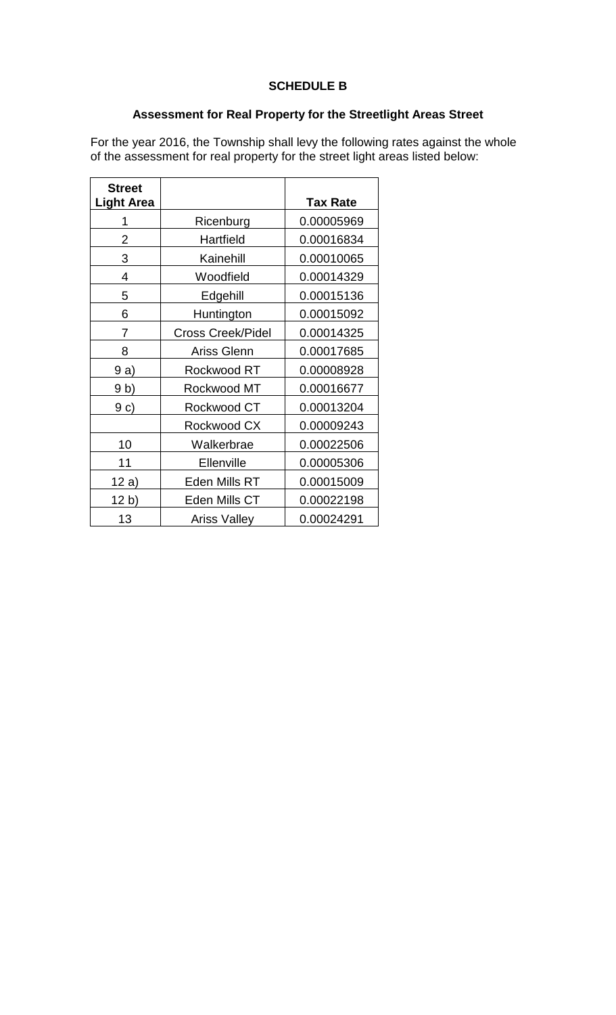## **SCHEDULE B**

## **Assessment for Real Property for the Streetlight Areas Street**

For the year 2016, the Township shall levy the following rates against the whole of the assessment for real property for the street light areas listed below:

| <b>Street</b><br><b>Light Area</b> |                          | <b>Tax Rate</b> |
|------------------------------------|--------------------------|-----------------|
|                                    |                          |                 |
|                                    | Ricenburg                | 0.00005969      |
| 2                                  | Hartfield                | 0.00016834      |
| 3                                  | Kainehill                | 0.00010065      |
| 4                                  | Woodfield                | 0.00014329      |
| 5                                  | Edgehill                 | 0.00015136      |
| 6                                  | Huntington               | 0.00015092      |
| 7                                  | <b>Cross Creek/Pidel</b> | 0.00014325      |
| 8                                  | Ariss Glenn              | 0.00017685      |
| 9a)                                | Rockwood RT              | 0.00008928      |
| 9 b)                               | Rockwood MT              | 0.00016677      |
| 9c)                                | Rockwood CT              | 0.00013204      |
|                                    | Rockwood CX              | 0.00009243      |
| 10                                 | Walkerbrae               | 0.00022506      |
| 11                                 | Ellenville               | 0.00005306      |
| 12 a)                              | Eden Mills RT            | 0.00015009      |
| 12 b)                              | Eden Mills CT            | 0.00022198      |
| 13                                 | <b>Ariss Valley</b>      | 0.00024291      |